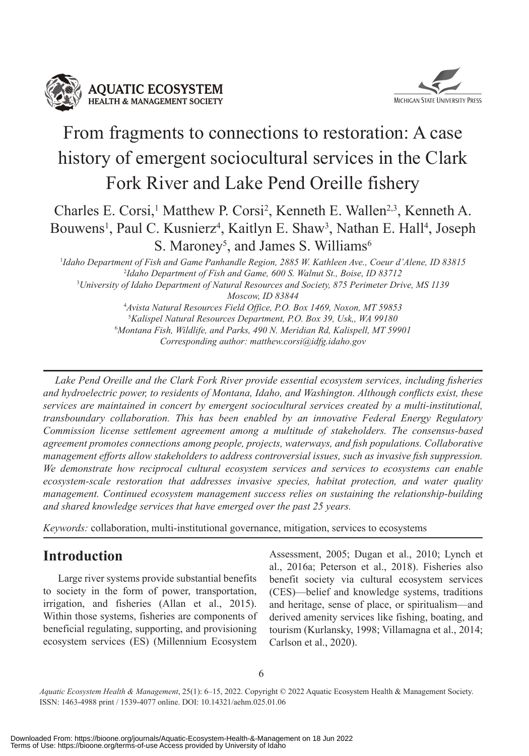



# From fragments to connections to restoration: A case history of emergent sociocultural services in the Clark Fork River and Lake Pend Oreille fishery

Charles E. Corsi,<sup>1</sup> Matthew P. Corsi<sup>2</sup>, Kenneth E. Wallen<sup>2,3</sup>, Kenneth A. Bouwens<sup>1</sup>, Paul C. Kusnierz<sup>4</sup>, Kaitlyn E. Shaw<sup>3</sup>, Nathan E. Hall<sup>4</sup>, Joseph S. Maroney<sup>5</sup>, and James S. Williams<sup>6</sup>

 *Idaho Department of Fish and Game Panhandle Region, 2885 W. Kathleen Ave., Coeur d'Alene, ID 83815 Idaho Department of Fish and Game, 600 S. Walnut St., Boise, ID 83712 University of Idaho Department of Natural Resources and Society, 875 Perimeter Drive, MS 1139 Moscow, ID 83844 Avista Natural Resources Field Office, P.O. Box 1469, Noxon, MT 59853 Kalispel Natural Resources Department, P.O. Box 39, Usk,, WA 99180 Montana Fish, Wildlife, and Parks, 490 N. Meridian Rd, Kalispell, MT 59901*

*Corresponding author: matthew.corsi@idfg.idaho.gov*

*Lake Pend Oreille and the Clark Fork River provide essential ecosystem services, including fisheries and hydroelectric power, to residents of Montana, Idaho, and Washington. Although conflicts exist, these services are maintained in concert by emergent sociocultural services created by a multi-institutional, transboundary collaboration. This has been enabled by an innovative Federal Energy Regulatory Commission license settlement agreement among a multitude of stakeholders. The consensus-based agreement promotes connections among people, projects, waterways, and fish populations. Collaborative management efforts allow stakeholders to address controversial issues, such as invasive fish suppression. We demonstrate how reciprocal cultural ecosystem services and services to ecosystems can enable ecosystem-scale restoration that addresses invasive species, habitat protection, and water quality management. Continued ecosystem management success relies on sustaining the relationship-building and shared knowledge services that have emerged over the past 25 years.*

*Keywords:* collaboration, multi-institutional governance, mitigation, services to ecosystems

## **Introduction**

Large river systems provide substantial benefits to society in the form of power, transportation, irrigation, and fisheries (Allan et al., 2015). Within those systems, fisheries are components of beneficial regulating, supporting, and provisioning ecosystem services (ES) (Millennium Ecosystem Assessment, 2005; Dugan et al., 2010; Lynch et al., 2016a; Peterson et al., 2018). Fisheries also benefit society via cultural ecosystem services (CES)—belief and knowledge systems, traditions and heritage, sense of place, or spiritualism—and derived amenity services like fishing, boating, and tourism (Kurlansky, 1998; Villamagna et al., 2014; Carlson et al., 2020).

6

*Aquatic Ecosystem Health & Management*, 25(1): 6–15, 2022. Copyright © 2022 Aquatic Ecosystem Health & Management Society. ISSN: 1463-4988 print / 1539-4077 online. DOI: 10.14321/aehm.025.01.06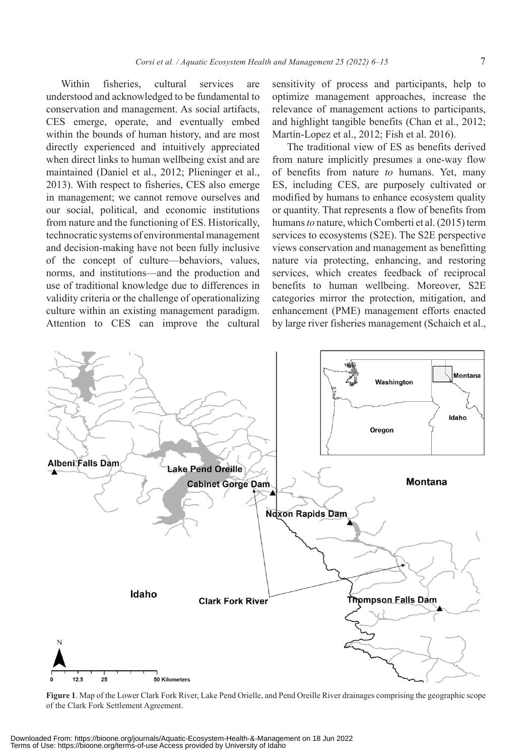Within fisheries, cultural services are understood and acknowledged to be fundamental to conservation and management. As social artifacts, CES emerge, operate, and eventually embed within the bounds of human history, and are most directly experienced and intuitively appreciated when direct links to human wellbeing exist and are maintained (Daniel et al., 2012; Plieninger et al., 2013). With respect to fisheries, CES also emerge in management; we cannot remove ourselves and our social, political, and economic institutions from nature and the functioning of ES. Historically, technocratic systems of environmental management and decision-making have not been fully inclusive of the concept of culture—behaviors, values, norms, and institutions—and the production and use of traditional knowledge due to differences in validity criteria or the challenge of operationalizing culture within an existing management paradigm. Attention to CES can improve the cultural

sensitivity of process and participants, help to optimize management approaches, increase the relevance of management actions to participants, and highlight tangible benefits (Chan et al., 2012; Martín-Lopez et al., 2012; Fish et al. 2016).

The traditional view of ES as benefits derived from nature implicitly presumes a one-way flow of benefits from nature *to* humans. Yet, many ES, including CES, are purposely cultivated or modified by humans to enhance ecosystem quality or quantity. That represents a flow of benefits from humans *to* nature, which Comberti et al. (2015) term services to ecosystems (S2E). The S2E perspective views conservation and management as benefitting nature via protecting, enhancing, and restoring services, which creates feedback of reciprocal benefits to human wellbeing. Moreover, S2E categories mirror the protection, mitigation, and enhancement (PME) management efforts enacted by large river fisheries management (Schaich et al.,



**Figure 1**. Map of the Lower Clark Fork River, Lake Pend Orielle, and Pend Oreille River drainages comprising the geographic scope of the Clark Fork Settlement Agreement.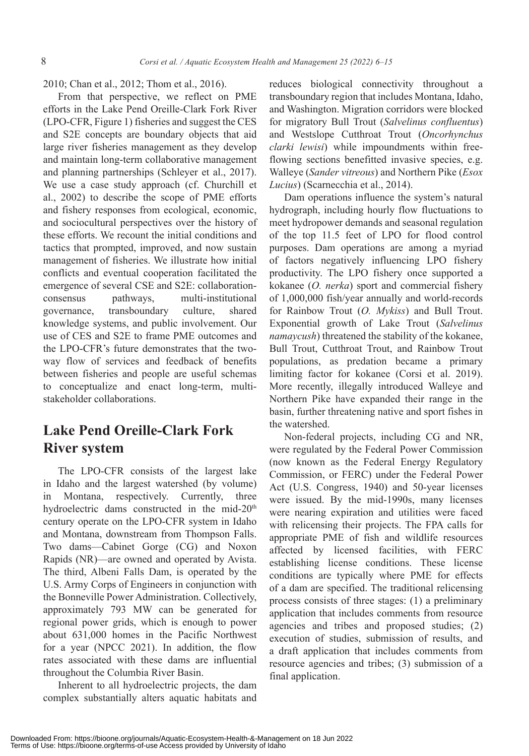2010; Chan et al., 2012; Thom et al., 2016).

From that perspective, we reflect on PME efforts in the Lake Pend Oreille-Clark Fork River (LPO-CFR, Figure 1) fisheries and suggest the CES and S2E concepts are boundary objects that aid large river fisheries management as they develop and maintain long-term collaborative management and planning partnerships (Schleyer et al., 2017). We use a case study approach (cf. Churchill et al., 2002) to describe the scope of PME efforts and fishery responses from ecological, economic, and sociocultural perspectives over the history of these efforts. We recount the initial conditions and tactics that prompted, improved, and now sustain management of fisheries. We illustrate how initial conflicts and eventual cooperation facilitated the emergence of several CSE and S2E: collaborationconsensus pathways, multi-institutional governance, transboundary culture, shared knowledge systems, and public involvement. Our use of CES and S2E to frame PME outcomes and the LPO-CFR's future demonstrates that the twoway flow of services and feedback of benefits between fisheries and people are useful schemas to conceptualize and enact long-term, multistakeholder collaborations.

# **Lake Pend Oreille-Clark Fork River system**

The LPO-CFR consists of the largest lake in Idaho and the largest watershed (by volume) Montana, respectively. Currently, three hydroelectric dams constructed in the mid-20<sup>th</sup> century operate on the LPO-CFR system in Idaho and Montana, downstream from Thompson Falls. Two dams—Cabinet Gorge (CG) and Noxon Rapids (NR)—are owned and operated by Avista. The third, Albeni Falls Dam, is operated by the U.S. Army Corps of Engineers in conjunction with the Bonneville Power Administration. Collectively, approximately 793 MW can be generated for regional power grids, which is enough to power about 631,000 homes in the Pacific Northwest for a year (NPCC 2021). In addition, the flow rates associated with these dams are influential throughout the Columbia River Basin.

Inherent to all hydroelectric projects, the dam complex substantially alters aquatic habitats and reduces biological connectivity throughout a transboundary region that includes Montana, Idaho, and Washington. Migration corridors were blocked for migratory Bull Trout (*Salvelinus confluentus*) and Westslope Cutthroat Trout (*Oncorhynchus clarki lewisi*) while impoundments within freeflowing sections benefitted invasive species, e.g. Walleye (*Sander vitreous*) and Northern Pike (*Esox Lucius*) (Scarnecchia et al., 2014).

Dam operations influence the system's natural hydrograph, including hourly flow fluctuations to meet hydropower demands and seasonal regulation of the top 11.5 feet of LPO for flood control purposes. Dam operations are among a myriad of factors negatively influencing LPO fishery productivity. The LPO fishery once supported a kokanee (*O. nerka*) sport and commercial fishery of 1,000,000 fish/year annually and world-records for Rainbow Trout (*O. Mykiss*) and Bull Trout. Exponential growth of Lake Trout (*Salvelinus namaycush*) threatened the stability of the kokanee, Bull Trout, Cutthroat Trout, and Rainbow Trout populations, as predation became a primary limiting factor for kokanee (Corsi et al. 2019). More recently, illegally introduced Walleye and Northern Pike have expanded their range in the basin, further threatening native and sport fishes in the watershed.

Non-federal projects, including CG and NR, were regulated by the Federal Power Commission (now known as the Federal Energy Regulatory Commission, or FERC) under the Federal Power Act (U.S. Congress, 1940) and 50-year licenses were issued. By the mid-1990s, many licenses were nearing expiration and utilities were faced with relicensing their projects. The FPA calls for appropriate PME of fish and wildlife resources affected by licensed facilities, with FERC establishing license conditions. These license conditions are typically where PME for effects of a dam are specified. The traditional relicensing process consists of three stages: (1) a preliminary application that includes comments from resource agencies and tribes and proposed studies; (2) execution of studies, submission of results, and a draft application that includes comments from resource agencies and tribes; (3) submission of a final application.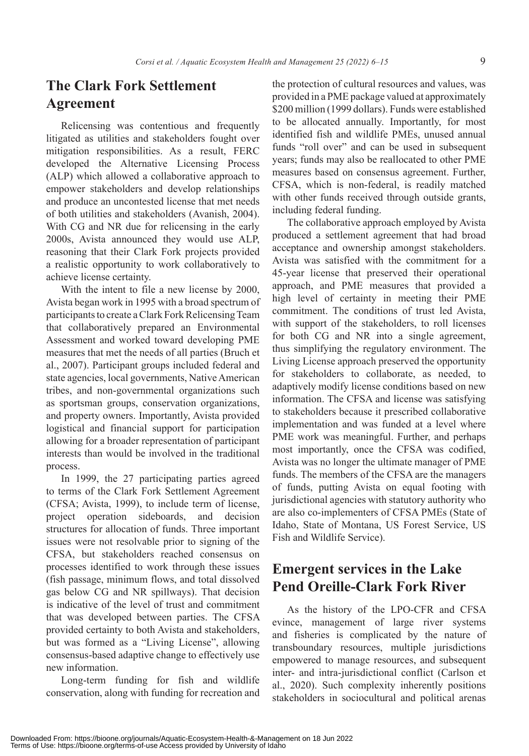# **The Clark Fork Settlement Agreement**

Relicensing was contentious and frequently litigated as utilities and stakeholders fought over mitigation responsibilities. As a result, FERC developed the Alternative Licensing Process (ALP) which allowed a collaborative approach to empower stakeholders and develop relationships and produce an uncontested license that met needs of both utilities and stakeholders (Avanish, 2004). With CG and NR due for relicensing in the early 2000s, Avista announced they would use ALP, reasoning that their Clark Fork projects provided a realistic opportunity to work collaboratively to achieve license certainty.

With the intent to file a new license by 2000, Avista began work in 1995 with a broad spectrum of participants to create a Clark Fork Relicensing Team that collaboratively prepared an Environmental Assessment and worked toward developing PME measures that met the needs of all parties (Bruch et al., 2007). Participant groups included federal and state agencies, local governments, Native American tribes, and non-governmental organizations such as sportsman groups, conservation organizations, and property owners. Importantly, Avista provided logistical and financial support for participation allowing for a broader representation of participant interests than would be involved in the traditional process.

In 1999, the 27 participating parties agreed to terms of the Clark Fork Settlement Agreement (CFSA; Avista, 1999), to include term of license, project operation sideboards, and decision structures for allocation of funds. Three important issues were not resolvable prior to signing of the CFSA, but stakeholders reached consensus on processes identified to work through these issues (fish passage, minimum flows, and total dissolved gas below CG and NR spillways). That decision is indicative of the level of trust and commitment that was developed between parties. The CFSA provided certainty to both Avista and stakeholders, but was formed as a "Living License", allowing consensus-based adaptive change to effectively use new information.

Long-term funding for fish and wildlife conservation, along with funding for recreation and

the protection of cultural resources and values, was provided in a PME package valued at approximately \$200 million (1999 dollars). Funds were established to be allocated annually. Importantly, for most identified fish and wildlife PMEs, unused annual funds "roll over" and can be used in subsequent years; funds may also be reallocated to other PME measures based on consensus agreement. Further, CFSA, which is non-federal, is readily matched with other funds received through outside grants, including federal funding.

The collaborative approach employed by Avista produced a settlement agreement that had broad acceptance and ownership amongst stakeholders. Avista was satisfied with the commitment for a 45-year license that preserved their operational approach, and PME measures that provided a high level of certainty in meeting their PME commitment. The conditions of trust led Avista, with support of the stakeholders, to roll licenses for both CG and NR into a single agreement, thus simplifying the regulatory environment. The Living License approach preserved the opportunity for stakeholders to collaborate, as needed, to adaptively modify license conditions based on new information. The CFSA and license was satisfying to stakeholders because it prescribed collaborative implementation and was funded at a level where PME work was meaningful. Further, and perhaps most importantly, once the CFSA was codified, Avista was no longer the ultimate manager of PME funds. The members of the CFSA are the managers of funds, putting Avista on equal footing with jurisdictional agencies with statutory authority who are also co-implementers of CFSA PMEs (State of Idaho, State of Montana, US Forest Service, US Fish and Wildlife Service).

# **Emergent services in the Lake Pend Oreille-Clark Fork River**

As the history of the LPO-CFR and CFSA evince, management of large river systems and fisheries is complicated by the nature of transboundary resources, multiple jurisdictions empowered to manage resources, and subsequent inter- and intra-jurisdictional conflict (Carlson et al., 2020). Such complexity inherently positions stakeholders in sociocultural and political arenas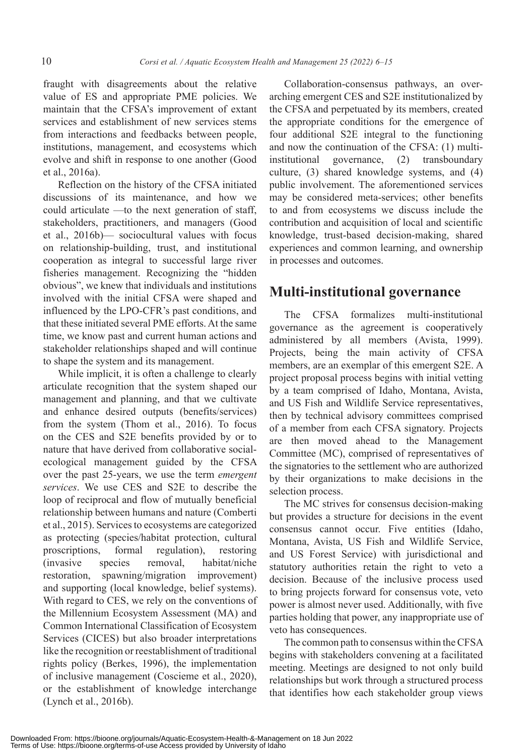fraught with disagreements about the relative value of ES and appropriate PME policies. We maintain that the CFSA's improvement of extant services and establishment of new services stems from interactions and feedbacks between people, institutions, management, and ecosystems which evolve and shift in response to one another (Good et al., 2016a).

Reflection on the history of the CFSA initiated discussions of its maintenance, and how we could articulate —to the next generation of staff, stakeholders, practitioners, and managers (Good et al., 2016b)— sociocultural values with focus on relationship-building, trust, and institutional cooperation as integral to successful large river fisheries management. Recognizing the "hidden obvious", we knew that individuals and institutions involved with the initial CFSA were shaped and influenced by the LPO-CFR's past conditions, and that these initiated several PME efforts. At the same time, we know past and current human actions and stakeholder relationships shaped and will continue to shape the system and its management.

While implicit, it is often a challenge to clearly articulate recognition that the system shaped our management and planning, and that we cultivate and enhance desired outputs (benefits/services) from the system (Thom et al., 2016). To focus on the CES and S2E benefits provided by or to nature that have derived from collaborative socialecological management guided by the CFSA over the past 25-years, we use the term *emergent services*. We use CES and S2E to describe the loop of reciprocal and flow of mutually beneficial relationship between humans and nature (Comberti et al., 2015). Services to ecosystems are categorized as protecting (species/habitat protection, cultural proscriptions, formal regulation), restoring (invasive species removal, habitat/niche restoration, spawning/migration improvement) and supporting (local knowledge, belief systems). With regard to CES, we rely on the conventions of the Millennium Ecosystem Assessment (MA) and Common International Classification of Ecosystem Services (CICES) but also broader interpretations like the recognition or reestablishment of traditional rights policy (Berkes, 1996), the implementation of inclusive management (Coscieme et al., 2020), or the establishment of knowledge interchange (Lynch et al., 2016b).

Collaboration-consensus pathways, an overarching emergent CES and S2E institutionalized by the CFSA and perpetuated by its members, created the appropriate conditions for the emergence of four additional S2E integral to the functioning and now the continuation of the CFSA: (1) multiinstitutional governance, (2) transboundary culture, (3) shared knowledge systems, and (4) public involvement. The aforementioned services may be considered meta-services; other benefits to and from ecosystems we discuss include the contribution and acquisition of local and scientific knowledge, trust-based decision-making, shared experiences and common learning, and ownership in processes and outcomes.

## **Multi-institutional governance**

The CFSA formalizes multi-institutional governance as the agreement is cooperatively administered by all members (Avista, 1999). Projects, being the main activity of CFSA members, are an exemplar of this emergent S2E. A project proposal process begins with initial vetting by a team comprised of Idaho, Montana, Avista, and US Fish and Wildlife Service representatives, then by technical advisory committees comprised of a member from each CFSA signatory. Projects are then moved ahead to the Management Committee (MC), comprised of representatives of the signatories to the settlement who are authorized by their organizations to make decisions in the selection process.

The MC strives for consensus decision-making but provides a structure for decisions in the event consensus cannot occur. Five entities (Idaho, Montana, Avista, US Fish and Wildlife Service, and US Forest Service) with jurisdictional and statutory authorities retain the right to veto a decision. Because of the inclusive process used to bring projects forward for consensus vote, veto power is almost never used. Additionally, with five parties holding that power, any inappropriate use of veto has consequences.

The common path to consensus within the CFSA begins with stakeholders convening at a facilitated meeting. Meetings are designed to not only build relationships but work through a structured process that identifies how each stakeholder group views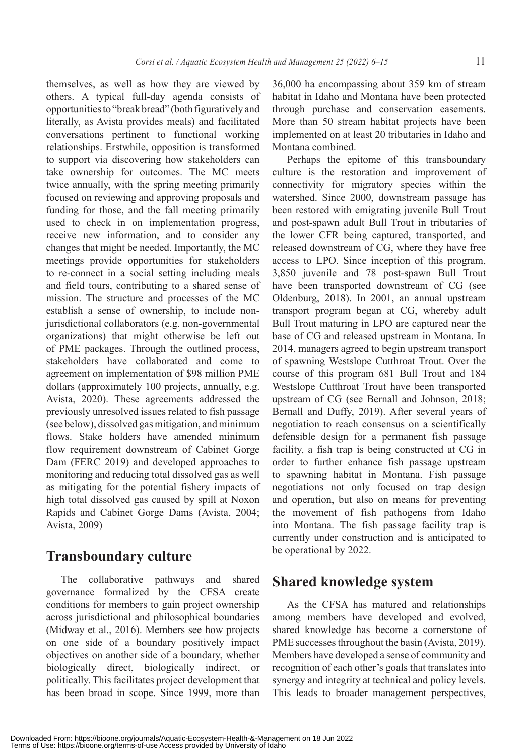themselves, as well as how they are viewed by others. A typical full-day agenda consists of opportunities to "break bread" (both figuratively and literally, as Avista provides meals) and facilitated conversations pertinent to functional working relationships. Erstwhile, opposition is transformed to support via discovering how stakeholders can take ownership for outcomes. The MC meets twice annually, with the spring meeting primarily focused on reviewing and approving proposals and funding for those, and the fall meeting primarily used to check in on implementation progress, receive new information, and to consider any changes that might be needed. Importantly, the MC meetings provide opportunities for stakeholders to re-connect in a social setting including meals and field tours, contributing to a shared sense of mission. The structure and processes of the MC establish a sense of ownership, to include nonjurisdictional collaborators (e.g. non-governmental organizations) that might otherwise be left out of PME packages. Through the outlined process, stakeholders have collaborated and come to agreement on implementation of \$98 million PME dollars (approximately 100 projects, annually, e.g. Avista, 2020). These agreements addressed the previously unresolved issues related to fish passage (see below), dissolved gas mitigation, and minimum flows. Stake holders have amended minimum flow requirement downstream of Cabinet Gorge Dam (FERC 2019) and developed approaches to monitoring and reducing total dissolved gas as well as mitigating for the potential fishery impacts of high total dissolved gas caused by spill at Noxon Rapids and Cabinet Gorge Dams (Avista, 2004; Avista, 2009)

#### **Transboundary culture**

The collaborative pathways and shared governance formalized by the CFSA create conditions for members to gain project ownership across jurisdictional and philosophical boundaries (Midway et al., 2016). Members see how projects on one side of a boundary positively impact objectives on another side of a boundary, whether biologically direct, biologically indirect, or politically. This facilitates project development that has been broad in scope. Since 1999, more than 36,000 ha encompassing about 359 km of stream habitat in Idaho and Montana have been protected through purchase and conservation easements. More than 50 stream habitat projects have been implemented on at least 20 tributaries in Idaho and Montana combined.

Perhaps the epitome of this transboundary culture is the restoration and improvement of connectivity for migratory species within the watershed. Since 2000, downstream passage has been restored with emigrating juvenile Bull Trout and post-spawn adult Bull Trout in tributaries of the lower CFR being captured, transported, and released downstream of CG, where they have free access to LPO. Since inception of this program, 3,850 juvenile and 78 post-spawn Bull Trout have been transported downstream of CG (see Oldenburg, 2018). In 2001, an annual upstream transport program began at CG, whereby adult Bull Trout maturing in LPO are captured near the base of CG and released upstream in Montana. In 2014, managers agreed to begin upstream transport of spawning Westslope Cutthroat Trout. Over the course of this program 681 Bull Trout and 184 Westslope Cutthroat Trout have been transported upstream of CG (see Bernall and Johnson, 2018; Bernall and Duffy, 2019). After several years of negotiation to reach consensus on a scientifically defensible design for a permanent fish passage facility, a fish trap is being constructed at CG in order to further enhance fish passage upstream to spawning habitat in Montana. Fish passage negotiations not only focused on trap design and operation, but also on means for preventing the movement of fish pathogens from Idaho into Montana. The fish passage facility trap is currently under construction and is anticipated to be operational by 2022.

## **Shared knowledge system**

As the CFSA has matured and relationships among members have developed and evolved, shared knowledge has become a cornerstone of PME successes throughout the basin (Avista, 2019). Members have developed a sense of community and recognition of each other's goals that translates into synergy and integrity at technical and policy levels. This leads to broader management perspectives,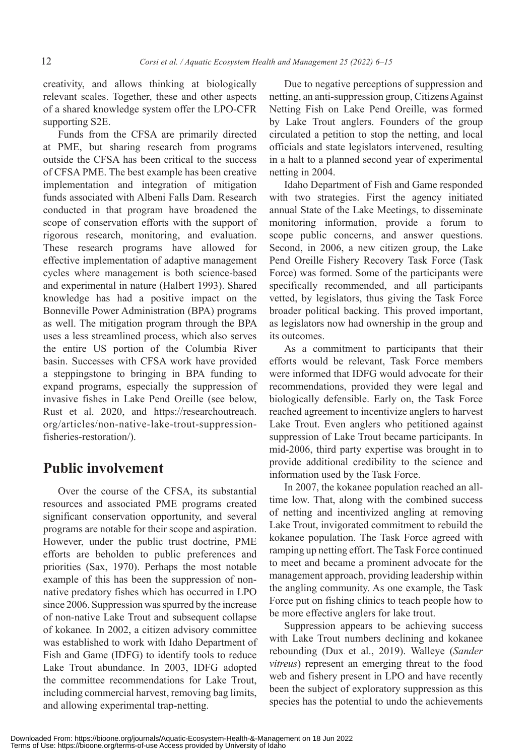creativity, and allows thinking at biologically relevant scales. Together, these and other aspects of a shared knowledge system offer the LPO-CFR supporting S2E.

Funds from the CFSA are primarily directed at PME, but sharing research from programs outside the CFSA has been critical to the success of CFSA PME. The best example has been creative implementation and integration of mitigation funds associated with Albeni Falls Dam. Research conducted in that program have broadened the scope of conservation efforts with the support of rigorous research, monitoring, and evaluation. These research programs have allowed for effective implementation of adaptive management cycles where management is both science-based and experimental in nature (Halbert 1993). Shared knowledge has had a positive impact on the Bonneville Power Administration (BPA) programs as well. The mitigation program through the BPA uses a less streamlined process, which also serves the entire US portion of the Columbia River basin. Successes with CFSA work have provided a steppingstone to bringing in BPA funding to expand programs, especially the suppression of invasive fishes in Lake Pend Oreille (see below, Rust et al. 2020, and https://researchoutreach. org/articles/non-native-lake-trout-suppressionfisheries-restoration/).

#### **Public involvement**

Over the course of the CFSA, its substantial resources and associated PME programs created significant conservation opportunity, and several programs are notable for their scope and aspiration. However, under the public trust doctrine, PME efforts are beholden to public preferences and priorities (Sax, 1970). Perhaps the most notable example of this has been the suppression of nonnative predatory fishes which has occurred in LPO since 2006. Suppression was spurred by the increase of non-native Lake Trout and subsequent collapse of kokanee*.* In 2002, a citizen advisory committee was established to work with Idaho Department of Fish and Game (IDFG) to identify tools to reduce Lake Trout abundance. In 2003, IDFG adopted the committee recommendations for Lake Trout, including commercial harvest, removing bag limits, and allowing experimental trap-netting.

Due to negative perceptions of suppression and netting, an anti-suppression group, Citizens Against Netting Fish on Lake Pend Oreille, was formed by Lake Trout anglers. Founders of the group circulated a petition to stop the netting, and local officials and state legislators intervened, resulting in a halt to a planned second year of experimental netting in 2004.

Idaho Department of Fish and Game responded with two strategies. First the agency initiated annual State of the Lake Meetings, to disseminate monitoring information, provide a forum to scope public concerns, and answer questions. Second, in 2006, a new citizen group, the Lake Pend Oreille Fishery Recovery Task Force (Task Force) was formed. Some of the participants were specifically recommended, and all participants vetted, by legislators, thus giving the Task Force broader political backing. This proved important, as legislators now had ownership in the group and its outcomes.

As a commitment to participants that their efforts would be relevant, Task Force members were informed that IDFG would advocate for their recommendations, provided they were legal and biologically defensible. Early on, the Task Force reached agreement to incentivize anglers to harvest Lake Trout. Even anglers who petitioned against suppression of Lake Trout became participants. In mid-2006, third party expertise was brought in to provide additional credibility to the science and information used by the Task Force.

In 2007, the kokanee population reached an alltime low. That, along with the combined success of netting and incentivized angling at removing Lake Trout, invigorated commitment to rebuild the kokanee population. The Task Force agreed with ramping up netting effort. The Task Force continued to meet and became a prominent advocate for the management approach, providing leadership within the angling community. As one example, the Task Force put on fishing clinics to teach people how to be more effective anglers for lake trout.

Suppression appears to be achieving success with Lake Trout numbers declining and kokanee rebounding (Dux et al., 2019). Walleye (*Sander vitreus*) represent an emerging threat to the food web and fishery present in LPO and have recently been the subject of exploratory suppression as this species has the potential to undo the achievements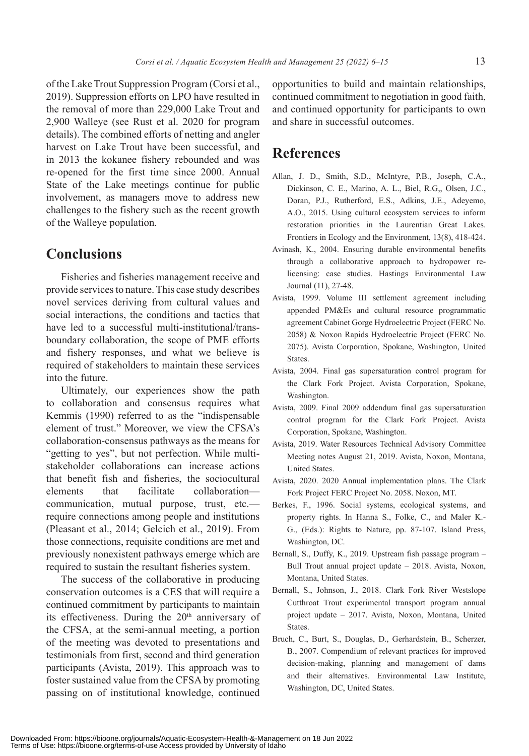of the Lake Trout Suppression Program (Corsi et al., 2019). Suppression efforts on LPO have resulted in the removal of more than 229,000 Lake Trout and 2,900 Walleye (see Rust et al. 2020 for program details). The combined efforts of netting and angler harvest on Lake Trout have been successful, and in 2013 the kokanee fishery rebounded and was re-opened for the first time since 2000. Annual State of the Lake meetings continue for public involvement, as managers move to address new challenges to the fishery such as the recent growth of the Walleye population.

#### **Conclusions**

Fisheries and fisheries management receive and provide services to nature. This case study describes novel services deriving from cultural values and social interactions, the conditions and tactics that have led to a successful multi-institutional/transboundary collaboration, the scope of PME efforts and fishery responses, and what we believe is required of stakeholders to maintain these services into the future.

Ultimately, our experiences show the path to collaboration and consensus requires what Kemmis (1990) referred to as the "indispensable element of trust." Moreover, we view the CFSA's collaboration-consensus pathways as the means for "getting to yes", but not perfection. While multistakeholder collaborations can increase actions that benefit fish and fisheries, the sociocultural elements that facilitate collaboration communication, mutual purpose, trust, etc. require connections among people and institutions (Pleasant et al., 2014; Gelcich et al., 2019). From those connections, requisite conditions are met and previously nonexistent pathways emerge which are required to sustain the resultant fisheries system.

The success of the collaborative in producing conservation outcomes is a CES that will require a continued commitment by participants to maintain its effectiveness. During the  $20<sup>th</sup>$  anniversary of the CFSA, at the semi-annual meeting, a portion of the meeting was devoted to presentations and testimonials from first, second and third generation participants (Avista, 2019). This approach was to foster sustained value from the CFSA by promoting passing on of institutional knowledge, continued

opportunities to build and maintain relationships, continued commitment to negotiation in good faith, and continued opportunity for participants to own and share in successful outcomes.

## **References**

- Allan, J. D., Smith, S.D., McIntyre, P.B., Joseph, C.A., Dickinson, C. E., Marino, A. L., Biel, R.G,, Olsen, J.C., Doran, P.J., Rutherford, E.S., Adkins, J.E., Adeyemo, A.O., 2015. Using cultural ecosystem services to inform restoration priorities in the Laurentian Great Lakes. Frontiers in Ecology and the Environment, 13(8), 418-424.
- Avinash, K., 2004. Ensuring durable environmental benefits through a collaborative approach to hydropower relicensing: case studies. Hastings Environmental Law Journal (11), 27-48.
- Avista, 1999. Volume III settlement agreement including appended PM&Es and cultural resource programmatic agreement Cabinet Gorge Hydroelectric Project (FERC No. 2058) & Noxon Rapids Hydroelectric Project (FERC No. 2075). Avista Corporation, Spokane, Washington, United **States**.
- Avista, 2004. Final gas supersaturation control program for the Clark Fork Project. Avista Corporation, Spokane, Washington.
- Avista, 2009. Final 2009 addendum final gas supersaturation control program for the Clark Fork Project. Avista Corporation, Spokane, Washington.
- Avista, 2019. Water Resources Technical Advisory Committee Meeting notes August 21, 2019. Avista, Noxon, Montana, United States.
- Avista, 2020. 2020 Annual implementation plans. The Clark Fork Project FERC Project No. 2058. Noxon, MT.
- Berkes, F., 1996. Social systems, ecological systems, and property rights. In Hanna S., Folke, C., and Maler K.- G., (Eds.): Rights to Nature, pp. 87-107. Island Press, Washington, DC.
- Bernall, S., Duffy, K., 2019. Upstream fish passage program Bull Trout annual project update – 2018. Avista, Noxon, Montana, United States.
- Bernall, S., Johnson, J., 2018. Clark Fork River Westslope Cutthroat Trout experimental transport program annual project update – 2017. Avista, Noxon, Montana, United States.
- Bruch, C., Burt, S., Douglas, D., Gerhardstein, B., Scherzer, B., 2007. Compendium of relevant practices for improved decision-making, planning and management of dams and their alternatives. Environmental Law Institute, Washington, DC, United States.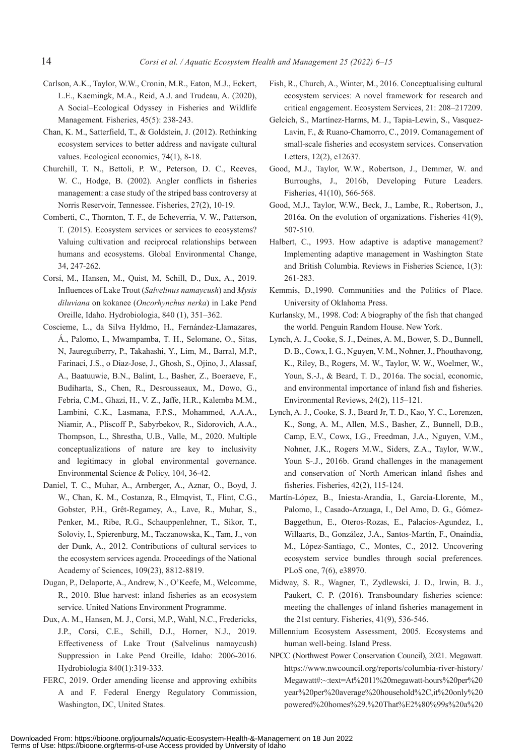- Carlson, A.K., Taylor, W.W., Cronin, M.R., Eaton, M.J., Eckert, L.E., Kaemingk, M.A., Reid, A.J. and Trudeau, A. (2020), A Social–Ecological Odyssey in Fisheries and Wildlife Management. Fisheries, 45(5): 238-243.
- Chan, K. M., Satterfield, T., & Goldstein, J. (2012). Rethinking ecosystem services to better address and navigate cultural values. Ecological economics, 74(1), 8-18.
- Churchill, T. N., Bettoli, P. W., Peterson, D. C., Reeves, W. C., Hodge, B. (2002). Angler conflicts in fisheries management: a case study of the striped bass controversy at Norris Reservoir, Tennessee. Fisheries, 27(2), 10-19.
- Comberti, C., Thornton, T. F., de Echeverria, V. W., Patterson, T. (2015). Ecosystem services or services to ecosystems? Valuing cultivation and reciprocal relationships between humans and ecosystems. Global Environmental Change, 34, 247-262.
- Corsi, M., Hansen, M., Quist, M, Schill, D., Dux, A., 2019. Influences of Lake Trout (*Salvelinus namaycush*) and *Mysis diluviana* on kokanee (*Oncorhynchus nerka*) in Lake Pend Oreille, Idaho. Hydrobiologia, 840 (1), 351–362.
- Coscieme, L., da Silva Hyldmo, H., Fernández-Llamazares, Á., Palomo, I., Mwampamba, T. H., Selomane, O., Sitas, N, Jaureguiberry, P., Takahashi, Y., Lim, M., Barral, M.P., Farinaci, J.S., o Diaz-Jose, J., Ghosh, S., Ojino, J., Alassaf, A., Baatuuwie, B.N., Balint, L., Basher, Z., Boeraeve, F., Budiharta, S., Chen, R., Desrousseaux, M., Dowo, G., Febria, C.M., Ghazi, H., V. Z., Jaffe, H.R., Kalemba M.M., Lambini, C.K., Lasmana, F.P.S., Mohammed, A.A.A., Niamir, A., Pliscoff P., Sabyrbekov, R., Sidorovich, A.A., Thompson, L., Shrestha, U.B., Valle, M., 2020. Multiple conceptualizations of nature are key to inclusivity and legitimacy in global environmental governance. Environmental Science & Policy, 104, 36-42.
- Daniel, T. C., Muhar, A., Arnberger, A., Aznar, O., Boyd, J. W., Chan, K. M., Costanza, R., Elmqvist, T., Flint, C.G., Gobster, P.H., Grêt-Regamey, A., Lave, R., Muhar, S., Penker, M., Ribe, R.G., Schauppenlehner, T., Sikor, T., Soloviy, I., Spierenburg, M., Taczanowska, K., Tam, J., von der Dunk, A., 2012. Contributions of cultural services to the ecosystem services agenda. Proceedings of the National Academy of Sciences, 109(23), 8812-8819.
- Dugan, P., Delaporte, A., Andrew, N., O'Keefe, M., Welcomme, R., 2010. Blue harvest: inland fisheries as an ecosystem service. United Nations Environment Programme.
- Dux, A. M., Hansen, M. J., Corsi, M.P., Wahl, N.C., Fredericks, J.P., Corsi, C.E., Schill, D.J., Horner, N.J., 2019. Effectiveness of Lake Trout (Salvelinus namaycush) Suppression in Lake Pend Oreille, Idaho: 2006-2016. Hydrobiologia 840(1):319-333.
- FERC, 2019. Order amending license and approving exhibits A and F. Federal Energy Regulatory Commission, Washington, DC, United States.
- Fish, R., Church, A., Winter, M., 2016. Conceptualising cultural ecosystem services: A novel framework for research and critical engagement. Ecosystem Services, 21: 208–217209.
- Gelcich, S., Martínez-Harms, M. J., Tapia-Lewin, S., Vasquez-Lavin, F., & Ruano-Chamorro, C., 2019. Comanagement of small-scale fisheries and ecosystem services. Conservation Letters, 12(2), e12637.
- Good, M.J., Taylor, W.W., Robertson, J., Demmer, W. and Burroughs, J., 2016b, Developing Future Leaders. Fisheries, 41(10), 566-568.
- Good, M.J., Taylor, W.W., Beck, J., Lambe, R., Robertson, J., 2016a. On the evolution of organizations. Fisheries 41(9), 507-510.
- Halbert, C., 1993. How adaptive is adaptive management? Implementing adaptive management in Washington State and British Columbia. Reviews in Fisheries Science, 1(3): 261-283.
- Kemmis, D.,1990. Communities and the Politics of Place. University of Oklahoma Press.
- Kurlansky, M., 1998. Cod: A biography of the fish that changed the world. Penguin Random House. New York.
- Lynch, A. J., Cooke, S. J., Deines, A. M., Bower, S. D., Bunnell, D. B., Cowx, I. G., Nguyen, V. M., Nohner, J., Phouthavong, K., Riley, B., Rogers, M. W., Taylor, W. W., Woelmer, W., Youn, S.-J., & Beard, T. D., 2016a. The social, economic, and environmental importance of inland fish and fisheries. Environmental Reviews, 24(2), 115–121.
- Lynch, A. J., Cooke, S. J., Beard Jr, T. D., Kao, Y. C., Lorenzen, K., Song, A. M., Allen, M.S., Basher, Z., Bunnell, D.B., Camp, E.V., Cowx, I.G., Freedman, J.A., Nguyen, V.M., Nohner, J.K., Rogers M.W., Siders, Z.A., Taylor, W.W., Youn S-.J., 2016b. Grand challenges in the management and conservation of North American inland fishes and fisheries. Fisheries, 42(2), 115-124.
- Martín-López, B., Iniesta-Arandia, I., García-Llorente, M., Palomo, I., Casado-Arzuaga, I., Del Amo, D. G., Gómez-Baggethun, E., Oteros-Rozas, E., Palacios-Agundez, I., Willaarts, B., González, J.A., Santos-Martín, F., Onaindia, M., López-Santiago, C., Montes, C., 2012. Uncovering ecosystem service bundles through social preferences. PLoS one, 7(6), e38970.
- Midway, S. R., Wagner, T., Zydlewski, J. D., Irwin, B. J., Paukert, C. P. (2016). Transboundary fisheries science: meeting the challenges of inland fisheries management in the 21st century. Fisheries, 41(9), 536-546.
- Millennium Ecosystem Assessment, 2005. Ecosystems and human well-being. Island Press.
- NPCC (Northwest Power Conservation Council), 2021. Megawatt. https://www.nwcouncil.org/reports/columbia-river-history/ Megawatt#:~:text=At%2011%20megawatt-hours%20per%20 year%20per%20average%20household%2C,it%20only%20 powered%20homes%29.%20That%E2%80%99s%20a%20